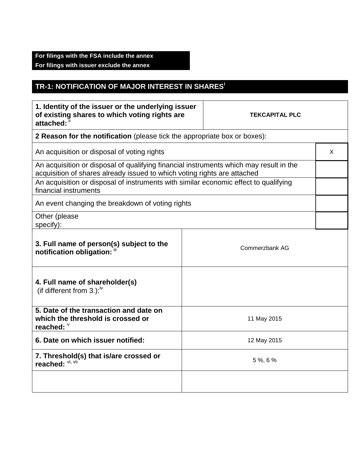## **For filings with the FSA include the annex For filings with issuer exclude the annex**

## **TR-1: NOTIFICATION OF MAJOR INTEREST IN SHARES<sup>i</sup>**

| 1. Identity of the issuer or the underlying issuer<br>of existing shares to which voting rights are<br>attached: ii                                                |  | <b>TEKCAPITAL PLC</b> |   |
|--------------------------------------------------------------------------------------------------------------------------------------------------------------------|--|-----------------------|---|
| 2 Reason for the notification (please tick the appropriate box or boxes):                                                                                          |  |                       |   |
| An acquisition or disposal of voting rights                                                                                                                        |  |                       | X |
| An acquisition or disposal of qualifying financial instruments which may result in the<br>acquisition of shares already issued to which voting rights are attached |  |                       |   |
| An acquisition or disposal of instruments with similar economic effect to qualifying<br>financial instruments                                                      |  |                       |   |
| An event changing the breakdown of voting rights                                                                                                                   |  |                       |   |
| Other (please<br>specify):                                                                                                                                         |  |                       |   |
| 3. Full name of person(s) subject to the<br>notification obligation: "                                                                                             |  | Commerzbank AG        |   |
| 4. Full name of shareholder(s)<br>(if different from 3.): $iv$                                                                                                     |  |                       |   |
| 5. Date of the transaction and date on<br>which the threshold is crossed or<br>reached: V                                                                          |  | 11 May 2015           |   |
| 6. Date on which issuer notified:                                                                                                                                  |  | 12 May 2015           |   |
| 7. Threshold(s) that is/are crossed or<br>reached: VI, VII                                                                                                         |  | 5%, 6%                |   |
|                                                                                                                                                                    |  |                       |   |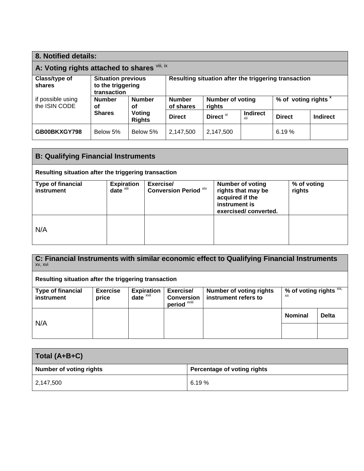| 8. Notified details:                         |                                                               |                         |               |                                                                                                    |                 |                                                      |                 |
|----------------------------------------------|---------------------------------------------------------------|-------------------------|---------------|----------------------------------------------------------------------------------------------------|-----------------|------------------------------------------------------|-----------------|
| A: Voting rights attached to shares Vill, ix |                                                               |                         |               |                                                                                                    |                 |                                                      |                 |
| Class/type of<br>shares                      | <b>Situation previous</b><br>to the triggering<br>transaction |                         |               |                                                                                                    |                 | Resulting situation after the triggering transaction |                 |
| if possible using<br>the ISIN CODE           | <b>Number</b><br>οf                                           | <b>Number</b><br>οf     |               | % of voting rights <sup>x</sup><br><b>Number of voting</b><br><b>Number</b><br>of shares<br>rights |                 |                                                      |                 |
|                                              | <b>Shares</b>                                                 | Voting<br><b>Rights</b> | <b>Direct</b> | Direct <sup>xi</sup>                                                                               | <b>Indirect</b> | <b>Direct</b>                                        | <b>Indirect</b> |
| GB00BKXGY798                                 | Below 5%                                                      | Below 5%                | 2,147,500     | 2,147,500                                                                                          |                 | 6.19%                                                |                 |

| <b>B: Qualifying Financial Instruments</b>           |                                               |                                           |                                                                                                           |                       |  |
|------------------------------------------------------|-----------------------------------------------|-------------------------------------------|-----------------------------------------------------------------------------------------------------------|-----------------------|--|
| Resulting situation after the triggering transaction |                                               |                                           |                                                                                                           |                       |  |
| <b>Type of financial</b><br>instrument               | <b>Expiration</b><br>$date^{\overline{x}iii}$ | Exercise/<br><b>Conversion Period Xiv</b> | <b>Number of voting</b><br>rights that may be<br>acquired if the<br>instrument is<br>exercised/converted. | % of voting<br>rights |  |
| N/A                                                  |                                               |                                           |                                                                                                           |                       |  |

**C: Financial Instruments with similar economic effect to Qualifying Financial Instruments** xv, xvi

| Resulting situation after the triggering transaction |                          |                               |                                                           |                                                        |                                              |              |
|------------------------------------------------------|--------------------------|-------------------------------|-----------------------------------------------------------|--------------------------------------------------------|----------------------------------------------|--------------|
| <b>Type of financial</b><br><b>instrument</b>        | <b>Exercise</b><br>price | <b>Expiration</b><br>$date^x$ | Exercise/<br><b>Conversion</b><br>period <sup>xviii</sup> | <b>Number of voting rights</b><br>instrument refers to | % of voting rights $\overline{X_1X_2}$<br>ХX |              |
| N/A                                                  |                          |                               |                                                           |                                                        | <b>Nominal</b>                               | <b>Delta</b> |
|                                                      |                          |                               |                                                           |                                                        |                                              |              |

| Total (A+B+C)                  |                             |
|--------------------------------|-----------------------------|
| <b>Number of voting rights</b> | Percentage of voting rights |
| 2,147,500                      | 6.19%                       |